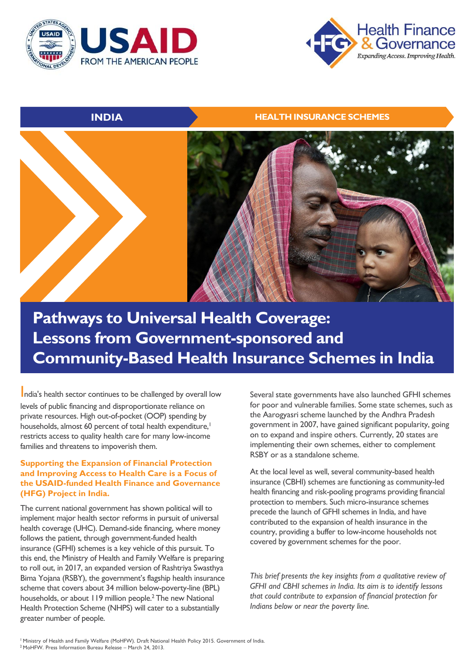



## **INDIA HEALTH INSURANCE SCHEMES**



# **Pathways to Universal Health Coverage: Lessons from Government-sponsored and Community-Based Health Insurance Schemes in India**

India's health sector continues to be challenged by overall low levels of public financing and disproportionate reliance on private resources. High out-of-pocket (OOP) spending by households, almost 60 percent of total health expenditure,<sup>1</sup> restricts access to quality health care for many low-income families and threatens to impoverish them.

## **Supporting the Expansion of Financial Protection and Improving Access to Health Care is a Focus of the USAID-funded Health Finance and Governance (HFG) Project in India.**

The current national government has shown political will to implement major health sector reforms in pursuit of universal health coverage (UHC). Demand-side financing, where money follows the patient, through government-funded health insurance (GFHI) schemes is a key vehicle of this pursuit. To this end, the Ministry of Health and Family Welfare is preparing to roll out, in 2017, an expanded version of Rashtriya Swasthya Bima Yojana (RSBY), the government's flagship health insurance scheme that covers about 34 million below-poverty-line (BPL) households, or about 119 million people.<sup>2</sup> The new National Health Protection Scheme (NHPS) will cater to a substantially greater number of people.

Several state governments have also launched GFHI schemes for poor and vulnerable families. Some state schemes, such as the Aarogyasri scheme launched by the Andhra Pradesh government in 2007, have gained significant popularity, going on to expand and inspire others. Currently, 20 states are implementing their own schemes, either to complement RSBY or as a standalone scheme.

At the local level as well, several community-based health insurance (CBHI) schemes are functioning as community-led health financing and risk-pooling programs providing financial protection to members. Such micro-insurance schemes precede the launch of GFHI schemes in India, and have contributed to the expansion of health insurance in the country, providing a buffer to low-income households not covered by government schemes for the poor.

*This brief presents the key insights from a qualitative review of GFHI and CBHI schemes in India. Its aim is to identify lessons that could contribute to expansion of financial protection for Indians below or near the poverty line.*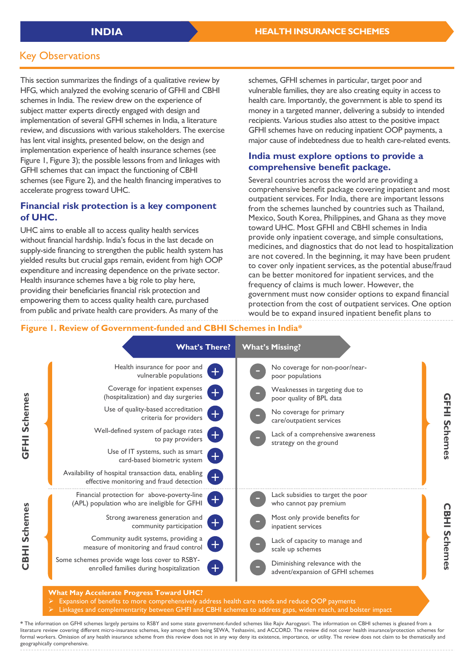## Key Observations

This section summarizes the findings of a qualitative review by HFG, which analyzed the evolving scenario of GFHI and CBHI schemes in India. The review drew on the experience of subject matter experts directly engaged with design and implementation of several GFHI schemes in India, a literature review, and discussions with various stakeholders. The exercise has lent vital insights, presented below, on the design and implementation experience of health insurance schemes (see Figure 1, Figure 3); the possible lessons from and linkages with GFHI schemes that can impact the functioning of CBHI schemes (see Figure 2), and the health financing imperatives to accelerate progress toward UHC.

## **Financial risk protection is a key component of UHC.**

UHC aims to enable all to access quality health services without financial hardship. India's focus in the last decade on supply-side financing to strengthen the public health system has yielded results but crucial gaps remain, evident from high OOP expenditure and increasing dependence on the private sector. Health insurance schemes have a big role to play here, providing their beneficiaries financial risk protection and empowering them to access quality health care, purchased from public and private health care providers. As many of the

schemes, GFHI schemes in particular, target poor and vulnerable families, they are also creating equity in access to health care. Importantly, the government is able to spend its money in a targeted manner, delivering a subsidy to intended recipients. Various studies also attest to the positive impact GFHI schemes have on reducing inpatient OOP payments, a major cause of indebtedness due to health care-related events.

## **India must explore options to provide a comprehensive benefit package.**

Several countries across the world are providing a comprehensive benefit package covering inpatient and most outpatient services. For India, there are important lessons from the schemes launched by countries such as Thailand, Mexico, South Korea, Philippines, and Ghana as they move toward UHC. Most GFHI and CBHI schemes in India provide only inpatient coverage, and simple consultations, medicines, and diagnostics that do not lead to hospitalization are not covered. In the beginning, it may have been prudent to cover only inpatient services, as the potential abuse/fraud can be better monitored for inpatient services, and the frequency of claims is much lower. However, the government must now consider options to expand financial protection from the cost of outpatient services. One option would be to expand insured inpatient benefit plans to

## **Figure 1. Review of Government-funded and CBHI Schemes in India\***



Linkages and complementarity between GHFI and CBHI schemes to address gaps, widen reach, and bolster impact

**\*** The information on GFHI schemes largely pertains to RSBY and some state government-funded schemes like Rajiv Aarogyasri. The information on CBHI schemes is gleaned from a literature review covering different micro-insurance schemes, key among them being SEWA, Yeshasvini, and ACCORD. The review did not cover health insurance/protection schemes for formal workers. Omission of any health insurance scheme from this review does not in any way deny its existence, importance, or utility. The review does not claim to be thematically and geographically comprehensive.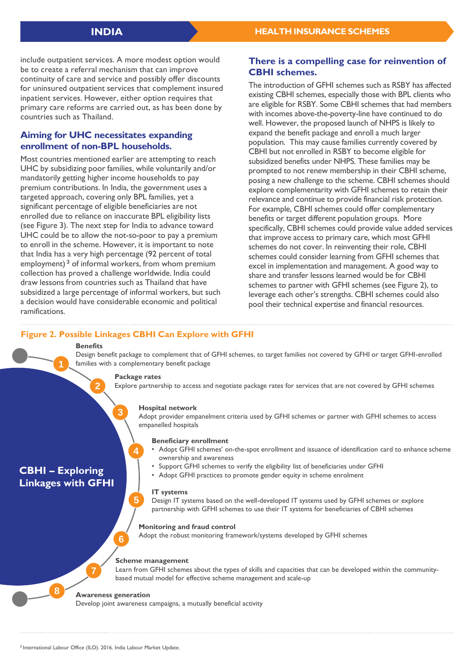include outpatient services. A more modest option would be to create a referral mechanism that can improve continuity of care and service and possibly offer discounts for uninsured outpatient services that complement insured inpatient services. However, either option requires that primary care reforms are carried out, as has been done by countries such as Thailand.

## **Aiming for UHC necessitates expanding enrollment of non-BPL households.**

Most countries mentioned earlier are attempting to reach UHC by subsidizing poor families, while voluntarily and/or mandatorily getting higher income households to pay premium contributions. In India, the government uses a targeted approach, covering only BPL families, yet a significant percentage of eligible beneficiaries are not enrolled due to reliance on inaccurate BPL eligibility lists (see Figure 3). The next step for India to advance toward UHC could be to allow the not-so-poor to pay a premium to enroll in the scheme. However, it is important to note that India has a very high percentage (92 percent of total employment)<sup>3</sup> of informal workers, from whom premium collection has proved a challenge worldwide. India could draw lessons from countries such as Thailand that have subsidized a large percentage of informal workers, but such a decision would have considerable economic and political ramifications.

## **There is a compelling case for reinvention of CBHI schemes.**

The introduction of GFHI schemes such as RSBY has affected existing CBHI schemes, especially those with BPL clients who are eligible for RSBY. Some CBHI schemes that had members with incomes above-the-poverty-line have continued to do well. However, the proposed launch of NHPS is likely to expand the benefit package and enroll a much larger population. This may cause families currently covered by CBHI but not enrolled in RSBY to become eligible for subsidized benefits under NHPS. These families may be prompted to not renew membership in their CBHI scheme, posing a new challenge to the scheme. CBHI schemes should explore complementarity with GFHI schemes to retain their relevance and continue to provide financial risk protection. For example, CBHI schemes could offer complementary benefits or target different population groups. More specifically, CBHI schemes could provide value added services that improve access to primary care, which most GFHI schemes do not cover. In reinventing their role, CBHI schemes could consider learning from GFHI schemes that excel in implementation and management. A good way to share and transfer lessons learned would be for CBHI schemes to partner with GFHI schemes (see Figure 2), to leverage each other's strengths. CBHI schemes could also pool their technical expertise and financial resources.

## **Figure 2. Possible Linkages CBHI Can Explore with GFHI**

#### **Benefits**

**2**

Design benefit package to complement that of GFHI schemes, to target families not covered by GFHI or target GFHI-enrolled families with a complementary benefit package

#### **Package rates**

**4**

**5**

**3**

Explore partnership to access and negotiate package rates for services that are not covered by GFHI schemes

#### **Hospital network**

Adopt provider empanelment criteria used by GFHI schemes or partner with GFHI schemes to access empanelled hospitals

#### **Beneficiary enrollment**

- Adopt GFHI schemes' on-the-spot enrollment and issuance of identification card to enhance scheme ownership and awareness
- Support GFHI schemes to verify the eligibility list of beneficiaries under GFHI
- Adopt GFHI practices to promote gender equity in scheme enrolment

#### **IT systems**

Design IT systems based on the well-developed IT systems used by GFHI schemes or explore partnership with GFHI schemes to use their IT systems for beneficiaries of CBHI schemes

#### **Monitoring and fraud control**

Adopt the robust monitoring framework/systems developed by GFHI schemes

### **Scheme management**

Learn from GFHI schemes about the types of skills and capacities that can be developed within the communitybased mutual model for effective scheme management and scale-up

#### **Awareness generation**

**6**

Develop joint awareness campaigns, a mutually beneficial activity

**7**

**8**

**CBHI – Exploring Linkages with GFHI**